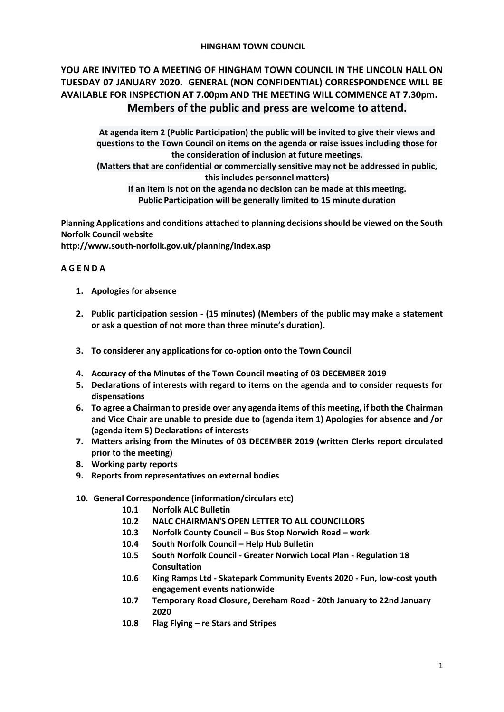### **HINGHAM TOWN COUNCIL**

# **YOU ARE INVITED TO A MEETING OF HINGHAM TOWN COUNCIL IN THE LINCOLN HALL ON TUESDAY 07 JANUARY 2020. GENERAL (NON CONFIDENTIAL) CORRESPONDENCE WILL BE AVAILABLE FOR INSPECTION AT 7.00pm AND THE MEETING WILL COMMENCE AT 7.30pm. Members of the public and press are welcome to attend.**

**At agenda item 2 (Public Participation) the public will be invited to give their views and questions to the Town Council on items on the agenda or raise issues including those for the consideration of inclusion at future meetings.**

**(Matters that are confidential or commercially sensitive may not be addressed in public, this includes personnel matters)**

**If an item is not on the agenda no decision can be made at this meeting. Public Participation will be generally limited to 15 minute duration**

**Planning Applications and conditions attached to planning decisions should be viewed on the South Norfolk Council website** 

**<http://www.south-norfolk.gov.uk/planning/index.asp>**

## **A G E N D A**

- **1. Apologies for absence**
- **2. Public participation session - (15 minutes) (Members of the public may make a statement or ask a question of not more than three minute's duration).**
- **3. To considerer any applications for co-option onto the Town Council**
- **4. Accuracy of the Minutes of the Town Council meeting of 03 DECEMBER 2019**
- **5. Declarations of interests with regard to items on the agenda and to consider requests for dispensations**
- **6. To agree a Chairman to preside over any agenda items of this meeting, if both the Chairman and Vice Chair are unable to preside due to (agenda item 1) Apologies for absence and /or (agenda item 5) Declarations of interests**
- **7. Matters arising from the Minutes of 03 DECEMBER 2019 (written Clerks report circulated prior to the meeting)**
- **8. Working party reports**
- **9. Reports from representatives on external bodies**
- **10. General Correspondence (information/circulars etc)**
	- **10.1 Norfolk ALC Bulletin**
	- **10.2 NALC CHAIRMAN'S OPEN LETTER TO ALL COUNCILLORS**
	- **10.3 Norfolk County Council – Bus Stop Norwich Road – work**
	- **10.4 South Norfolk Council – Help Hub Bulletin**
	- **10.5 South Norfolk Council - Greater Norwich Local Plan - Regulation 18 Consultation**
	- **10.6 King Ramps Ltd - Skatepark Community Events 2020 - Fun, low-cost youth engagement events nationwide**
	- **10.7 Temporary Road Closure, Dereham Road - 20th January to 22nd January 2020**
	- **10.8 Flag Flying – re Stars and Stripes**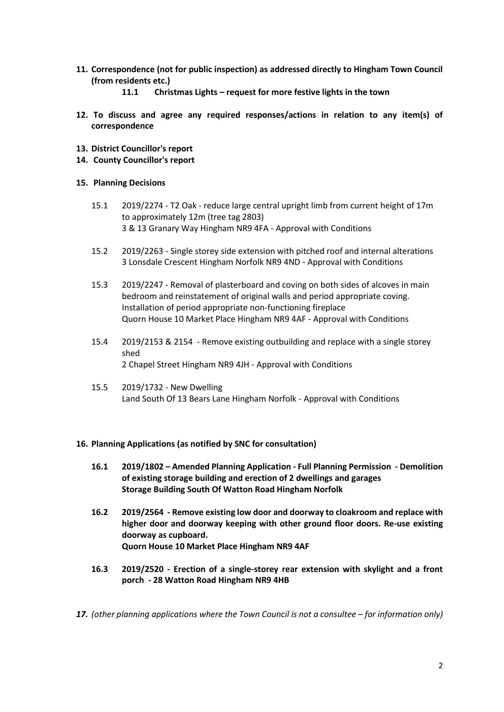- **11. Correspondence (not for public inspection) as addressed directly to Hingham Town Council (from residents etc.)**
	- **11.1 Christmas Lights – request for more festive lights in the town**
- **12. To discuss and agree any required responses/actions in relation to any item(s) of correspondence**
- **13. District Councillor's report**
- **14. County Councillor's report**

### **15. Planning Decisions**

- 15.1 2019/2274 T2 Oak reduce large central upright limb from current height of 17m to approximately 12m (tree tag 2803) 3 & 13 Granary Way Hingham NR9 4FA - Approval with Conditions
- 15.2 2019/2263 Single storey side extension with pitched roof and internal alterations 3 Lonsdale Crescent Hingham Norfolk NR9 4ND - Approval with Conditions
- 15.3 2019/2247 Removal of plasterboard and coving on both sides of alcoves in main bedroom and reinstatement of original walls and period appropriate coving. Installation of period appropriate non-functioning fireplace Quorn House 10 Market Place Hingham NR9 4AF - Approval with Conditions
- 15.4 2019/2153 & 2154 Remove existing outbuilding and replace with a single storey shed 2 Chapel Street Hingham NR9 4JH - Approval with Conditions
- 15.5 2019/1732 New Dwelling Land South Of 13 Bears Lane Hingham Norfolk - Approval with Conditions

#### **16. Planning Applications (as notified by SNC for consultation)**

- **16.1 2019/1802 – Amended Planning Application - Full Planning Permission - Demolition of existing storage building and erection of 2 dwellings and garages Storage Building South Of Watton Road Hingham Norfolk**
- **16.2 2019/2564 - Remove existing low door and doorway to cloakroom and replace with higher door and doorway keeping with other ground floor doors. Re-use existing doorway as cupboard. Quorn House 10 Market Place Hingham NR9 4AF**
- **16.3 2019/2520 - Erection of a single-storey rear extension with skylight and a front porch - 28 Watton Road Hingham NR9 4HB**
- 17. *(other planning applications where the Town Council is not a consultee for information only)*